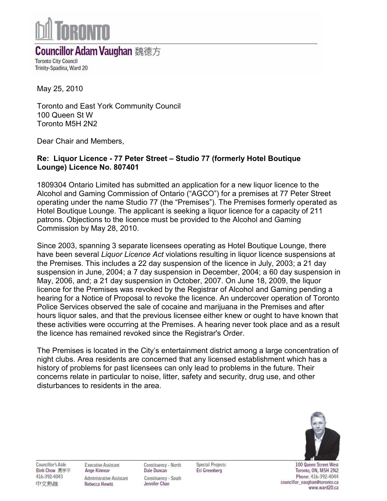

## **Councillor Adam Vaughan** 魏德方

**Toronto City Council** Trinity-Spadina, Ward 20

May 25, 2010

Toronto and East York Community Council 100 Queen St W Toronto M5H 2N2

Dear Chair and Members,

## Re: Liquor Licence - 77 Peter Street – Studio 77 (formerly Hotel Boutique Lounge) Licence No. 807401

1809304 Ontario Limited has submitted an application for a new liquor licence to the Alcohol and Gaming Commission of Ontario ("AGCO") for a premises at 77 Peter Street operating under the name Studio 77 (the "Premises"). The Premises formerly operated as Hotel Boutique Lounge. The applicant is seeking a liquor licence for a capacity of 211 patrons. Objections to the licence must be provided to the Alcohol and Gaming Commission by May 28, 2010.

Since 2003, spanning 3 separate licensees operating as Hotel Boutique Lounge, there have been several *Liquor Licence Act* violations resulting in liquor licence suspensions at the Premises. This includes a 22 day suspension of the licence in July, 2003; a 21 day suspension in June, 2004; a 7 day suspension in December, 2004; a 60 day suspension in May, 2006, and; a 21 day suspension in October, 2007. On June 18, 2009, the liquor licence for the Premises was revoked by the Registrar of Alcohol and Gaming pending a hearing for a Notice of Proposal to revoke the licence. An undercover operation of Toronto Police Services observed the sale of cocaine and marijuana in the Premises and after hours liquor sales, and that the previous licensee either knew or ought to have known that these activities were occurring at the Premises. A hearing never took place and as a result the licence has remained revoked since the Registrar's Order.

The Premises is located in the City's entertainment district among a large concentration of night clubs. Area residents are concerned that any licensed establishment which has a history of problems for past licensees can only lead to problems in the future. Their concerns relate in particular to noise, litter, safety and security, drug use, and other disturbances to residents in the area.



**Councillor's Aide Binh Chow 周宇平** 416-392-4043 中文熱線

**Constituency - North Dale Duncan Constituency - South** Jennifer Chan

**Special Projects Eti Greenberg** 

100 Queen Street West Toronto, ON, M5H 2N2 Phone: 416-392-4044 councillor\_vaughan@toronto.ca www.ward20.ca